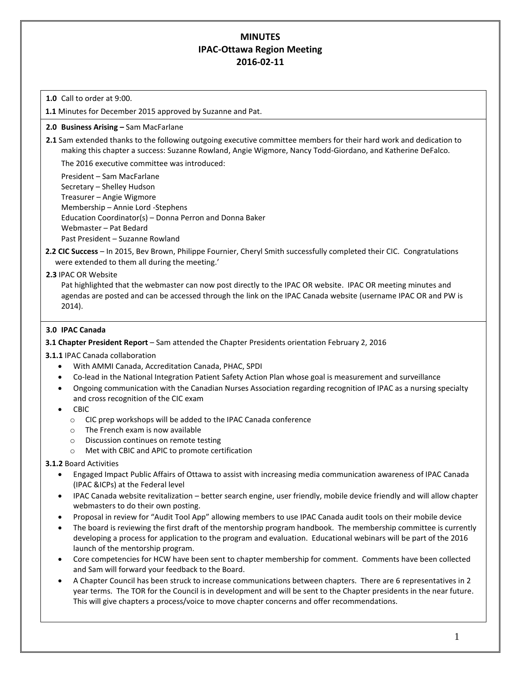# **MINUTES IPAC-Ottawa Region Meeting 2016-02-11**

### **1.0** Call to order at 9:00.

**1.1** Minutes for December 2015 approved by Suzanne and Pat.

### **2.0 Business Arising –** Sam MacFarlane

**2.1** Sam extended thanks to the following outgoing executive committee members for their hard work and dedication to making this chapter a success: Suzanne Rowland, Angie Wigmore, Nancy Todd-Giordano, and Katherine DeFalco.

The 2016 executive committee was introduced:

President – Sam MacFarlane Secretary – Shelley Hudson Treasurer – Angie Wigmore Membership – Annie Lord -Stephens Education Coordinator(s) – Donna Perron and Donna Baker Webmaster – Pat Bedard Past President – Suzanne Rowland

- **2.2 CIC Success** In 2015, Bev Brown, Philippe Fournier, Cheryl Smith successfully completed their CIC. Congratulations were extended to them all during the meeting.'
- **2.3** IPAC OR Website

Pat highlighted that the webmaster can now post directly to the IPAC OR website. IPAC OR meeting minutes and agendas are posted and can be accessed through the link on the IPAC Canada website (username IPAC OR and PW is 2014).

#### **3.0 IPAC Canada**

#### **3.1 Chapter President Report** – Sam attended the Chapter Presidents orientation February 2, 2016

**3.1.1** IPAC Canada collaboration

- With AMMI Canada, Accreditation Canada, PHAC, SPDI
- Co-lead in the National Integration Patient Safety Action Plan whose goal is measurement and surveillance
- Ongoing communication with the Canadian Nurses Association regarding recognition of IPAC as a nursing specialty and cross recognition of the CIC exam
- CBIC
	- o CIC prep workshops will be added to the IPAC Canada conference
	- o The French exam is now available
	- o Discussion continues on remote testing
	- o Met with CBIC and APIC to promote certification

### **3.1.2** Board Activities

- Engaged Impact Public Affairs of Ottawa to assist with increasing media communication awareness of IPAC Canada (IPAC &ICPs) at the Federal level
- IPAC Canada website revitalization better search engine, user friendly, mobile device friendly and will allow chapter webmasters to do their own posting.
- Proposal in review for "Audit Tool App" allowing members to use IPAC Canada audit tools on their mobile device
- The board is reviewing the first draft of the mentorship program handbook. The membership committee is currently developing a process for application to the program and evaluation. Educational webinars will be part of the 2016 launch of the mentorship program.
- Core competencies for HCW have been sent to chapter membership for comment. Comments have been collected and Sam will forward your feedback to the Board.
- A Chapter Council has been struck to increase communications between chapters. There are 6 representatives in 2 year terms. The TOR for the Council is in development and will be sent to the Chapter presidents in the near future. This will give chapters a process/voice to move chapter concerns and offer recommendations.